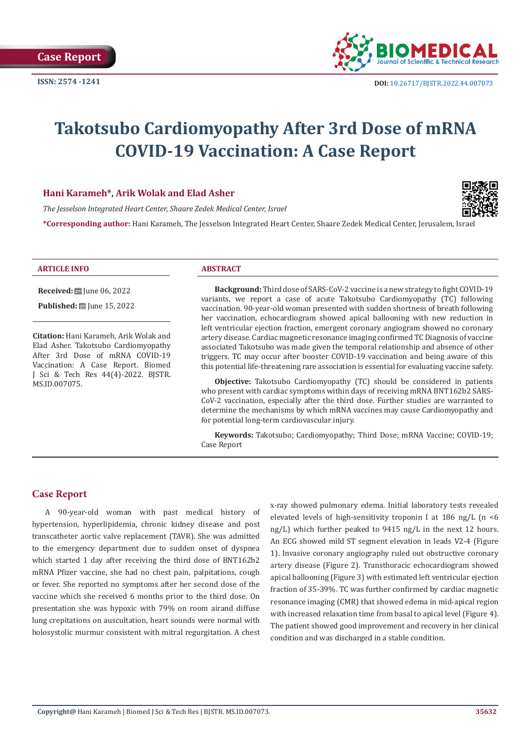

# **Takotsubo Cardiomyopathy After 3rd Dose of mRNA COVID-19 Vaccination: A Case Report**

# **Hani Karameh\*, Arik Wolak and Elad Asher**

*The Jesselson Integrated Heart Center, Shaare Zedek Medical Center, Israel*



**\*Corresponding author:** Hani Karameh, The Jesselson Integrated Heart Center, Shaare Zedek Medical Center, Jerusalem, Israel

### **ARTICLE INFO ABSTRACT**

**Received:** ■ June 06, 2022

**Published:** [D] June 15, 2022

**Citation:** Hani Karameh, Arik Wolak and Elad Asher. Takotsubo Cardiomyopathy After 3rd Dose of mRNA COVID-19 Vaccination: A Case Report. Biomed J Sci & Tech Res 44(4)-2022. BJSTR. MS.ID.007075.

**Background:** Third dose of SARS-CoV-2 vaccine is a new strategy to fight COVID-19 variants, we report a case of acute Takotsubo Cardiomyopathy (TC) following vaccination. 90-year-old woman presented with sudden shortness of breath following her vaccination, echocardiogram showed apical ballooning with new reduction in left ventricular ejection fraction, emergent coronary angiogram showed no coronary artery disease. Cardiac magnetic resonance imaging confirmed TC Diagnosis of vaccine associated Takotsubo was made given the temporal relationship and absence of other triggers. TC may occur after booster COVID-19 vaccination and being aware of this this potential life-threatening rare association is essential for evaluating vaccine safety.

**Objective:** Takotsubo Cardiomyopathy (TC) should be considered in patients who present with cardiac symptoms within days of receiving mRNA BNT162b2 SARS-CoV-2 vaccination, especially after the third dose. Further studies are warranted to determine the mechanisms by which mRNA vaccines may cause Cardiomyopathy and for potential long-term cardiovascular injury.

**Keywords:** Takotsubo; Cardiomyopathy; Third Dose; mRNA Vaccine; COVID-19; Case Report

# **Case Report**

A 90-year-old woman with past medical history of hypertension, hyperlipidemia, chronic kidney disease and post transcatheter aortic valve replacement (TAVR). She was admitted to the emergency department due to sudden onset of dyspnea which started 1 day after receiving the third dose of BNT162b2 mRNA Pfizer vaccine, she had no chest pain, palpitations, cough or fever. She reported no symptoms after her second dose of the vaccine which she received 6 months prior to the third dose. On presentation she was hypoxic with 79% on room airand diffuse lung crepitations on auscultation, heart sounds were normal with holosystolic murmur consistent with mitral regurgitation. A chest x-ray showed pulmonary edema. Initial laboratory tests revealed elevated levels of high-sensitivity troponin I at 186 ng/L (n <6 ng/L) which further peaked to 9415 ng/L in the next 12 hours. An ECG showed mild ST segment elevation in leads V2-4 (Figure 1). Invasive coronary angiography ruled out obstructive coronary artery disease (Figure 2). Transthoracic echocardiogram showed apical ballooning (Figure 3) with estimated left ventricular ejection fraction of 35-39%. TC was further confirmed by cardiac magnetic resonance imaging (CMR) that showed edema in mid-apical region with increased relaxation time from basal to apical level (Figure 4). The patient showed good improvement and recovery in her clinical condition and was discharged in a stable condition.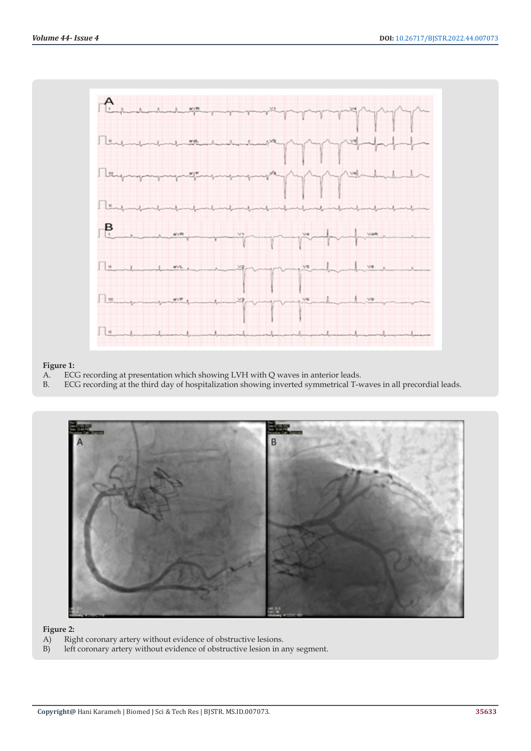

# **Figure 1:**<br>A. **EC**

- A. ECG recording at presentation which showing LVH with Q waves in anterior leads.
- B. ECG recording at the third day of hospitalization showing inverted symmetrical T-waves in all precordial leads.



- **Figure 2:**<br>A) Rig A) Right coronary artery without evidence of obstructive lesions.<br>B) left coronary artery without evidence of obstructive lesion in a
- left coronary artery without evidence of obstructive lesion in any segment.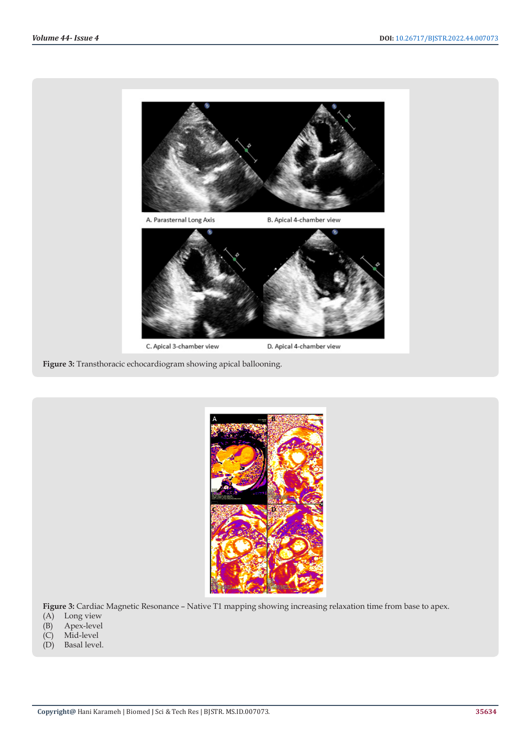

**Figure 3:** Transthoracic echocardiogram showing apical ballooning.



**Figure 3:** Cardiac Magnetic Resonance – Native T1 mapping showing increasing relaxation time from base to apex.

- (A) Long view
- (B) Apex-level
- (C) Mid-level
- (D) Basal level.